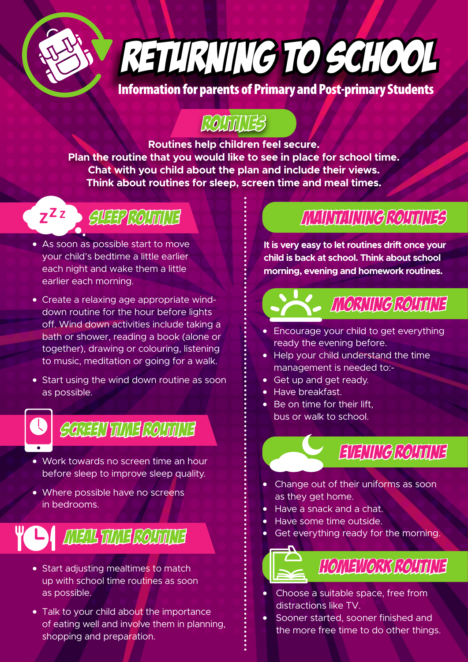

RETURNING TO SCHOOL

Information for parents of Primary and Post-primary Students

## ROUTILITES

**Routines help children feel secure. Plan the routine that you would like to see in place for school time. Chat with you child about the plan and include their views. Think about routines for sleep, screen time and meal times.**

# z<sup>zz</sup> · GLEEP ROUTINE

- As soon as possible start to move your child's bedtime a little earlier each night and wake them a little earlier each morning.
- Create a relaxing age appropriate winddown routine for the hour before lights off. Wind down activities include taking a bath or shower, reading a book (alone or together), drawing or colouring, listening to music, meditation or going for a walk.
- Start using the wind down routine as soon as possible.

SGREEN TIME ROUTINE

- Work towards no screen time an hour before sleep to improve sleep quality.
- Where possible have no screens in bedrooms.

## **YO AREA TIME ROUTINE**

- Start adjusting mealtimes to match up with school time routines as soon as possible.
- Talk to your child about the importance of eating well and involve them in planning, shopping and preparation.

### Maintaining Routines

**It is very easy to let routines drift once your child is back at school. Think about school morning, evening and homework routines.**



- Encourage your child to get everything ready the evening before.
- Help your child understand the time management is needed to:-
- • Get up and get ready.
- Have breakfast.
- Be on time for their lift bus or walk to school.



- • Change out of their uniforms as soon as they get home.
- Have a snack and a chat.
- Have some time outside.
- Get everything ready for the morning.



- Choose a suitable space, free from distractions like TV.
- Sooner started, sooner finished and the more free time to do other things.